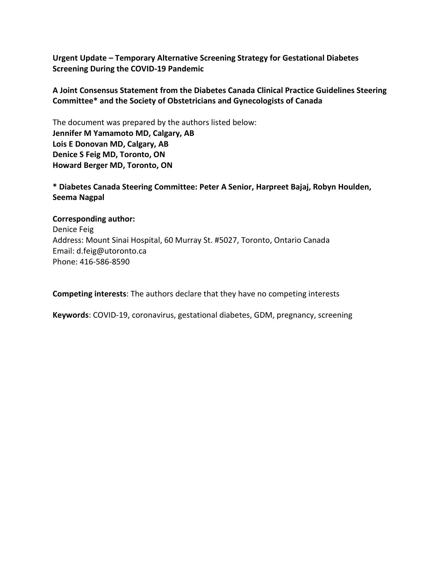**Urgent Update – Temporary Alternative Screening Strategy for Gestational Diabetes Screening During the COVID-19 Pandemic**

**A Joint Consensus Statement from the Diabetes Canada Clinical Practice Guidelines Steering Committee\* and the Society of Obstetricians and Gynecologists of Canada**

The document was prepared by the authors listed below: **Jennifer M Yamamoto MD, Calgary, AB Lois E Donovan MD, Calgary, AB Denice S Feig MD, Toronto, ON Howard Berger MD, Toronto, ON**

**\* Diabetes Canada Steering Committee: Peter A Senior, Harpreet Bajaj, Robyn Houlden, Seema Nagpal**

#### **Corresponding author:**

Denice Feig Address: Mount Sinai Hospital, 60 Murray St. #5027, Toronto, Ontario Canada Email: d.feig@utoronto.ca Phone: 416-586-8590

**Competing interests**: The authors declare that they have no competing interests

**Keywords**: COVID-19, coronavirus, gestational diabetes, GDM, pregnancy, screening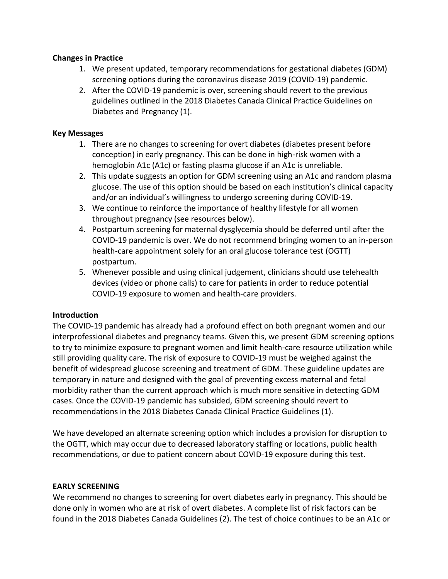#### **Changes in Practice**

- 1. We present updated, temporary recommendations for gestational diabetes (GDM) screening options during the coronavirus disease 2019 (COVID-19) pandemic.
- 2. After the COVID-19 pandemic is over, screening should revert to the previous guidelines outlined in the 2018 Diabetes Canada Clinical Practice Guidelines on Diabetes and Pregnancy (1).

### **Key Messages**

- 1. There are no changes to screening for overt diabetes (diabetes present before conception) in early pregnancy. This can be done in high-risk women with a hemoglobin A1c (A1c) or fasting plasma glucose if an A1c is unreliable.
- 2. This update suggests an option for GDM screening using an A1c and random plasma glucose. The use of this option should be based on each institution's clinical capacity and/or an individual's willingness to undergo screening during COVID-19.
- 3. We continue to reinforce the importance of healthy lifestyle for all women throughout pregnancy (see resources below).
- 4. Postpartum screening for maternal dysglycemia should be deferred until after the COVID-19 pandemic is over. We do not recommend bringing women to an in-person health-care appointment solely for an oral glucose tolerance test (OGTT) postpartum.
- 5. Whenever possible and using clinical judgement, clinicians should use telehealth devices (video or phone calls) to care for patients in order to reduce potential COVID-19 exposure to women and health-care providers.

# **Introduction**

The COVID-19 pandemic has already had a profound effect on both pregnant women and our interprofessional diabetes and pregnancy teams. Given this, we present GDM screening options to try to minimize exposure to pregnant women and limit health-care resource utilization while still providing quality care. The risk of exposure to COVID-19 must be weighed against the benefit of widespread glucose screening and treatment of GDM. These guideline updates are temporary in nature and designed with the goal of preventing excess maternal and fetal morbidity rather than the current approach which is much more sensitive in detecting GDM cases. Once the COVID-19 pandemic has subsided, GDM screening should revert to recommendations in the 2018 Diabetes Canada Clinical Practice Guidelines (1).

We have developed an alternate screening option which includes a provision for disruption to the OGTT, which may occur due to decreased laboratory staffing or locations, public health recommendations, or due to patient concern about COVID-19 exposure during this test.

# **EARLY SCREENING**

We recommend no changes to screening for overt diabetes early in pregnancy. This should be done only in women who are at risk of overt diabetes. A complete list of risk factors can be found in the 2018 Diabetes Canada Guidelines (2). The test of choice continues to be an A1c or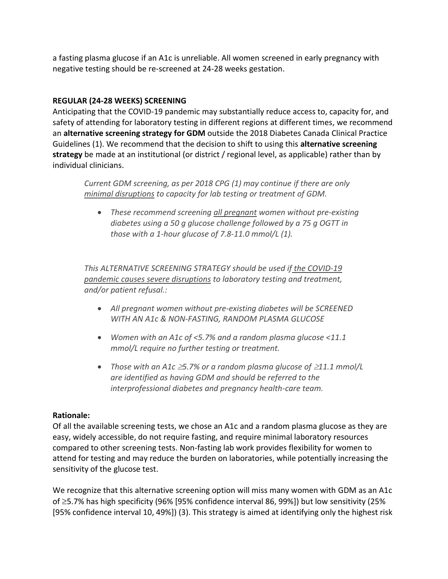a fasting plasma glucose if an A1c is unreliable. All women screened in early pregnancy with negative testing should be re-screened at 24-28 weeks gestation.

# **REGULAR (24-28 WEEKS) SCREENING**

Anticipating that the COVID-19 pandemic may substantially reduce access to, capacity for, and safety of attending for laboratory testing in different regions at different times, we recommend an **alternative screening strategy for GDM** outside the 2018 Diabetes Canada Clinical Practice Guidelines (1). We recommend that the decision to shift to using this **alternative screening strategy** be made at an institutional (or district / regional level, as applicable) rather than by individual clinicians.

*Current GDM screening, as per 2018 CPG (1) may continue if there are only minimal disruptions to capacity for lab testing or treatment of GDM.* 

• *These recommend screening all pregnant women without pre-existing diabetes using a 50 g glucose challenge followed by a 75 g OGTT in those with a 1-hour glucose of 7.8-11.0 mmol/L (1).* 

*This ALTERNATIVE SCREENING STRATEGY should be used if the COVID-19 pandemic causes severe disruptions to laboratory testing and treatment, and/or patient refusal.:*

- *All pregnant women without pre-existing diabetes will be SCREENED WITH AN A1c & NON-FASTING, RANDOM PLASMA GLUCOSE*
- *Women with an A1c of <5.7% and a random plasma glucose <11.1 mmol/L require no further testing or treatment.*
- *Those with an A1c 5.7% or a random plasma glucose of 11.1 mmol/L are identified as having GDM and should be referred to the interprofessional diabetes and pregnancy health-care team.*

# **Rationale:**

Of all the available screening tests, we chose an A1c and a random plasma glucose as they are easy, widely accessible, do not require fasting, and require minimal laboratory resources compared to other screening tests. Non-fasting lab work provides flexibility for women to attend for testing and may reduce the burden on laboratories, while potentially increasing the sensitivity of the glucose test.

We recognize that this alternative screening option will miss many women with GDM as an A1c of  $\geq$ 5.7% has high specificity (96% [95% confidence interval 86, 99%]) but low sensitivity (25% [95% confidence interval 10, 49%]) (3). This strategy is aimed at identifying only the highest risk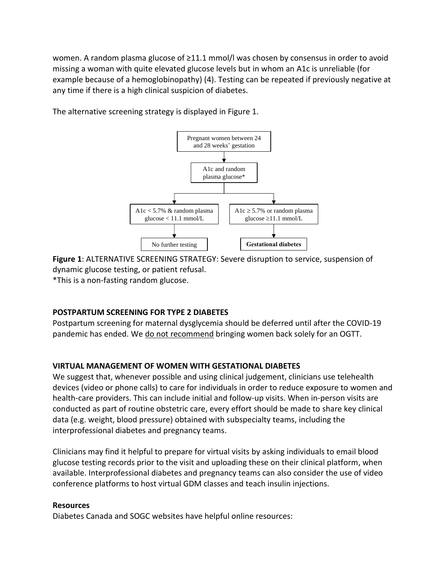women. A random plasma glucose of ≥11.1 mmol/l was chosen by consensus in order to avoid missing a woman with quite elevated glucose levels but in whom an A1c is unreliable (for example because of a hemoglobinopathy) (4). Testing can be repeated if previously negative at any time if there is a high clinical suspicion of diabetes.

> Pregnant women between 24 and 28 weeks' gestation A1c and random plasma glucose\* A1c  $<$  5.7%  $\&$  random plasma  $glucose < 11.1$  mmol/L **Gestational diabetes** A1c  $\geq$  5.7% or random plasma glucose  $\geq$ 11.1 mmol/L No further testing

The alternative screening strategy is displayed in Figure 1.

**Figure 1**: ALTERNATIVE SCREENING STRATEGY: Severe disruption to service, suspension of dynamic glucose testing, or patient refusal.  $*$ This is a non-fasting random glucose.

#### **POSTPARTUM SCREENING FOR TYPE 2 DIABETES**

the a non-fasting random glucose

Postpartum screening for maternal dysglycemia should be deferred until after the COVID-19 pandemic has ended. We do not recommend bringing women back solely for an OGTT.

#### **VIRTUAL MANAGEMENT OF WOMEN WITH GESTATIONAL DIABETES**

We suggest that, whenever possible and using clinical judgement, clinicians use telehealth devices (video or phone calls) to care for individuals in order to reduce exposure to women and health-care providers. This can include initial and follow-up visits. When in-person visits are conducted as part of routine obstetric care, every effort should be made to share key clinical data (e.g. weight, blood pressure) obtained with subspecialty teams, including the interprofessional diabetes and pregnancy teams.

Clinicians may find it helpful to prepare for virtual visits by asking individuals to email blood glucose testing records prior to the visit and uploading these on their clinical platform, when available. Interprofessional diabetes and pregnancy teams can also consider the use of video conference platforms to host virtual GDM classes and teach insulin injections.

#### **Resources**

Diabetes Canada and SOGC websites have helpful online resources: